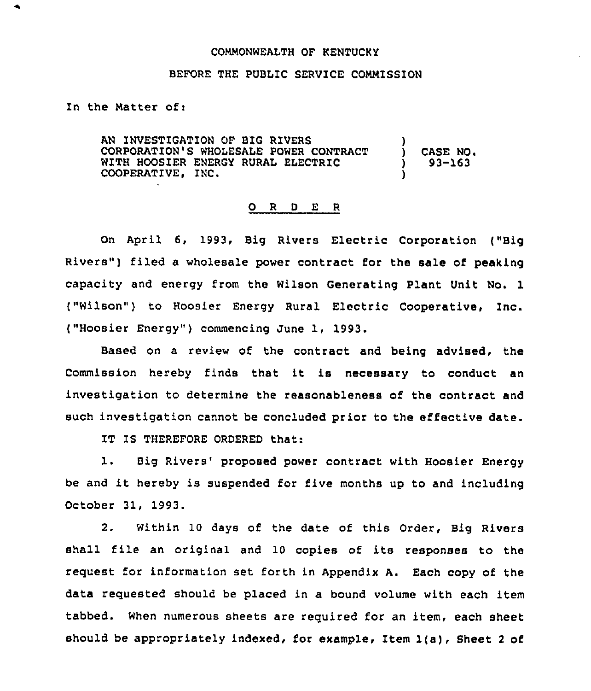## CONNONWEALTH OF KENTUCKY

### BEFORE THE PUBLIC SERVICE COMMISSION

In the Natter of:

AN INVEST1GATION OF BIG RIVERS CORPORATION'S WHOLESALE POWER CONTRACT WITH HOOSIER ENERGY RURAL ELECTRIC COOPERATIVE, INC. ) ) CASE NO. ) 93-163 )

#### 0 <sup>R</sup> <sup>D</sup> E <sup>R</sup>

On April 6, 1993, Big Rivers Electric Corporation ("Big Rivers") filed a wholesale power contract for the sale of peaking capacity and energy from the Wilson Generating Plant Unit No. 1 ("Wilson") to Hoosier Energy Rural Electric Cooperative, Inc. ("Hoosier Energy" ) commencing June 1, 1993.

Based on a review of the contract and being advised, the Commission hereby finds that it is necessary to conduct an investigation to determine the reasonableness of the contract and such investigation cannot be concluded prior to the effective date.

IT IS THEREFORE ORDERED that:

1. Big Rivers' proposed power contract with Hoosier Energy be and it hereby is suspended for five months up to and including October 31, 1993.

2. Within 10 days of the date of this Order, Big Rivers shall file an original and 10 copies of its responses to the request for information set forth in Appendix A. Each copy of the data requested should be placed in a bound volume with each item tabbed. When numerous sheets are required for an item, each sheet should be appropriately indexed, for example, Item 1(a), Sheet <sup>2</sup> of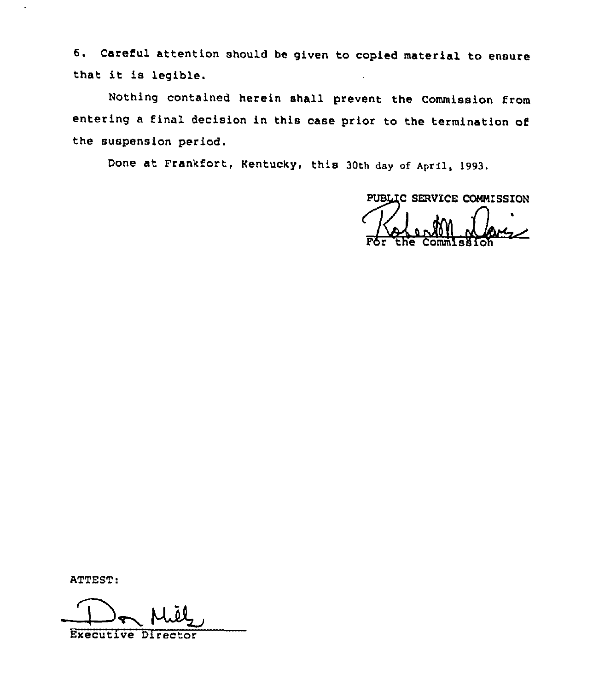6. Careful attention should be given to copied material to ensure that it is legible.

Nothing contained herein shall prevent the Commission from entering <sup>a</sup> final decision in this case prior to the termination of the suspension period.

Done at Frankfort, Kentucky, this 30th day of April, 1993.

PUBLIC SERVICE COMMISSION / For the Commissio

ATTEST:

Executive Director